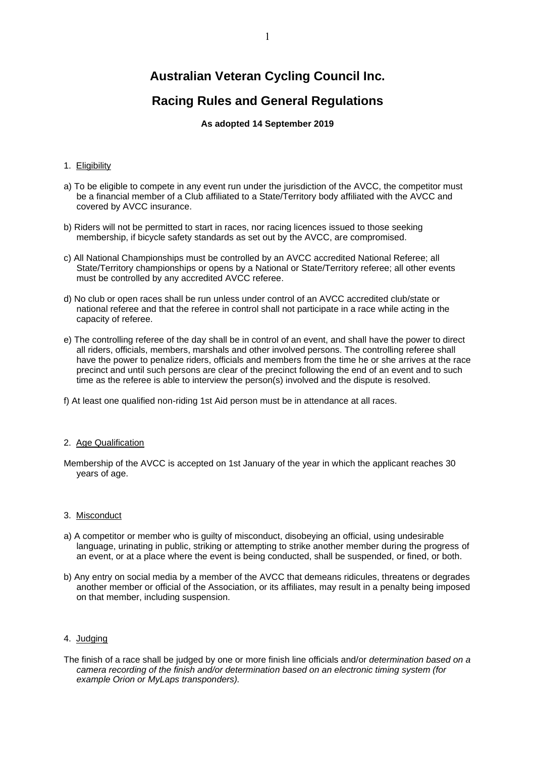# **Australian Veteran Cycling Council Inc.**

# **Racing Rules and General Regulations**

# **As adopted 14 September 2019**

## 1. Eligibility

- a) To be eligible to compete in any event run under the jurisdiction of the AVCC, the competitor must be a financial member of a Club affiliated to a State/Territory body affiliated with the AVCC and covered by AVCC insurance.
- b) Riders will not be permitted to start in races, nor racing licences issued to those seeking membership, if bicycle safety standards as set out by the AVCC, are compromised.
- c) All National Championships must be controlled by an AVCC accredited National Referee; all State/Territory championships or opens by a National or State/Territory referee; all other events must be controlled by any accredited AVCC referee.
- d) No club or open races shall be run unless under control of an AVCC accredited club/state or national referee and that the referee in control shall not participate in a race while acting in the capacity of referee.
- e) The controlling referee of the day shall be in control of an event, and shall have the power to direct all riders, officials, members, marshals and other involved persons. The controlling referee shall have the power to penalize riders, officials and members from the time he or she arrives at the race precinct and until such persons are clear of the precinct following the end of an event and to such time as the referee is able to interview the person(s) involved and the dispute is resolved.
- f) At least one qualified non-riding 1st Aid person must be in attendance at all races.

## 2. Age Qualification

Membership of the AVCC is accepted on 1st January of the year in which the applicant reaches 30 years of age.

## 3. Misconduct

- a) A competitor or member who is guilty of misconduct, disobeying an official, using undesirable language, urinating in public, striking or attempting to strike another member during the progress of an event, or at a place where the event is being conducted, shall be suspended, or fined, or both.
- b) Any entry on social media by a member of the AVCC that demeans ridicules, threatens or degrades another member or official of the Association, or its affiliates, may result in a penalty being imposed on that member, including suspension.

## 4. Judging

The finish of a race shall be judged by one or more finish line officials and/or *determination based on a camera recording of the finish and/or determination based on an electronic timing system (for example Orion or MyLaps transponders).*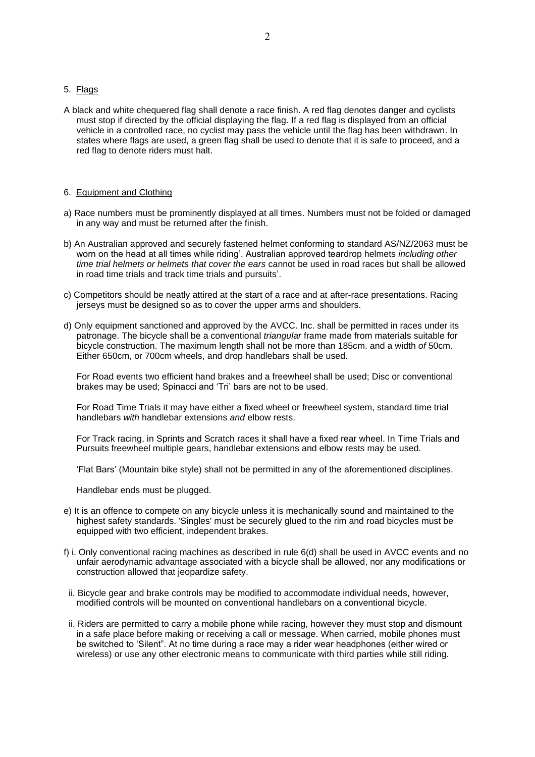# 5. Flags

A black and white chequered flag shall denote a race finish. A red flag denotes danger and cyclists must stop if directed by the official displaying the flag. If a red flag is displayed from an official vehicle in a controlled race, no cyclist may pass the vehicle until the flag has been withdrawn. In states where flags are used, a green flag shall be used to denote that it is safe to proceed, and a red flag to denote riders must halt.

#### 6. Equipment and Clothing

- a) Race numbers must be prominently displayed at all times. Numbers must not be folded or damaged in any way and must be returned after the finish.
- b) An Australian approved and securely fastened helmet conforming to standard AS/NZ/2063 must be worn on the head at all times while riding'. Australian approved teardrop helmets *including other time trial helmets or helmets that cover the ears* cannot be used in road races but shall be allowed in road time trials and track time trials and pursuits'.
- c) Competitors should be neatly attired at the start of a race and at after-race presentations. Racing jerseys must be designed so as to cover the upper arms and shoulders.
- d) Only equipment sanctioned and approved by the AVCC. Inc. shall be permitted in races under its patronage. The bicycle shall be a conventional *triangular* frame made from materials suitable for bicycle construction. The maximum length shall not be more than 185cm. and a width *of* 50cm. Either 650cm, or 700cm wheels, and drop handlebars shall be used.

For Road events two efficient hand brakes and a freewheel shall be used; Disc or conventional brakes may be used; Spinacci and 'Tri' bars are not to be used.

For Road Time Trials it may have either a fixed wheel or freewheel system, standard time trial handlebars *with* handlebar extensions *and* elbow rests.

For Track racing, in Sprints and Scratch races it shall have a fixed rear wheel. In Time Trials and Pursuits freewheel multiple gears, handlebar extensions and elbow rests may be used.

'Flat Bars' (Mountain bike style) shall not be permitted in any of the aforementioned disciplines.

Handlebar ends must be plugged.

- e) It is an offence to compete on any bicycle unless it is mechanically sound and maintained to the highest safety standards. 'Singles' must be securely glued to the rim and road bicycles must be equipped with two efficient, independent brakes.
- f) i. Only conventional racing machines as described in rule 6(d) shall be used in AVCC events and no unfair aerodynamic advantage associated with a bicycle shall be allowed, nor any modifications or construction allowed that jeopardize safety.
- ii. Bicycle gear and brake controls may be modified to accommodate individual needs, however, modified controls will be mounted on conventional handlebars on a conventional bicycle.
- ii. Riders are permitted to carry a mobile phone while racing, however they must stop and dismount in a safe place before making or receiving a call or message. When carried, mobile phones must be switched to 'Silent". At no time during a race may a rider wear headphones (either wired or wireless) or use any other electronic means to communicate with third parties while still riding.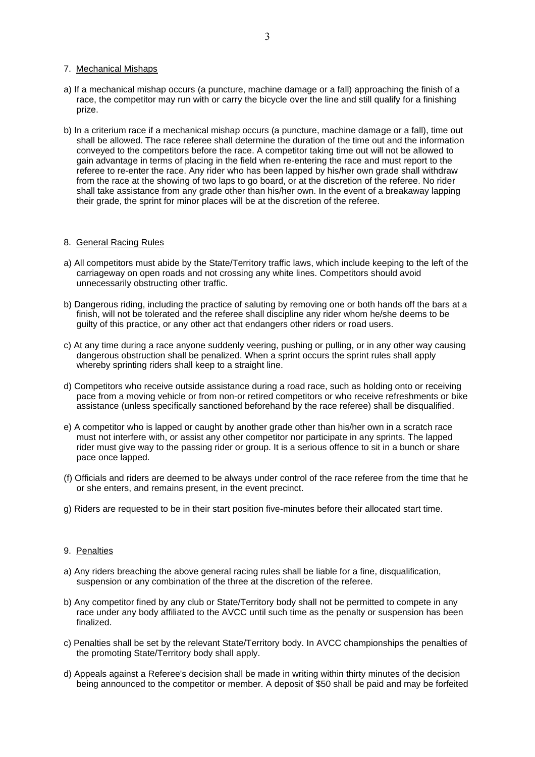#### 7. Mechanical Mishaps

- a) If a mechanical mishap occurs (a puncture, machine damage or a fall) approaching the finish of a race, the competitor may run with or carry the bicycle over the line and still qualify for a finishing prize.
- b) In a criterium race if a mechanical mishap occurs (a puncture, machine damage or a fall), time out shall be allowed. The race referee shall determine the duration of the time out and the information conveyed to the competitors before the race. A competitor taking time out will not be allowed to gain advantage in terms of placing in the field when re-entering the race and must report to the referee to re-enter the race. Any rider who has been lapped by his/her own grade shall withdraw from the race at the showing of two laps to go board, or at the discretion of the referee. No rider shall take assistance from any grade other than his/her own. In the event of a breakaway lapping their grade, the sprint for minor places will be at the discretion of the referee.

## 8. General Racing Rules

- a) All competitors must abide by the State/Territory traffic laws, which include keeping to the left of the carriageway on open roads and not crossing any white lines. Competitors should avoid unnecessarily obstructing other traffic.
- b) Dangerous riding, including the practice of saluting by removing one or both hands off the bars at a finish, will not be tolerated and the referee shall discipline any rider whom he/she deems to be guilty of this practice, or any other act that endangers other riders or road users.
- c) At any time during a race anyone suddenly veering, pushing or pulling, or in any other way causing dangerous obstruction shall be penalized. When a sprint occurs the sprint rules shall apply whereby sprinting riders shall keep to a straight line.
- d) Competitors who receive outside assistance during a road race, such as holding onto or receiving pace from a moving vehicle or from non-or retired competitors or who receive refreshments or bike assistance (unless specifically sanctioned beforehand by the race referee) shall be disqualified.
- e) A competitor who is lapped or caught by another grade other than his/her own in a scratch race must not interfere with, or assist any other competitor nor participate in any sprints. The lapped rider must give way to the passing rider or group. It is a serious offence to sit in a bunch or share pace once lapped.
- (f) Officials and riders are deemed to be always under control of the race referee from the time that he or she enters, and remains present, in the event precinct.
- g) Riders are requested to be in their start position five-minutes before their allocated start time.

## 9. Penalties

- a) Any riders breaching the above general racing rules shall be liable for a fine, disqualification, suspension or any combination of the three at the discretion of the referee.
- b) Any competitor fined by any club or State/Territory body shall not be permitted to compete in any race under any body affiliated to the AVCC until such time as the penalty or suspension has been finalized.
- c) Penalties shall be set by the relevant State/Territory body. In AVCC championships the penalties of the promoting State/Territory body shall apply.
- d) Appeals against a Referee's decision shall be made in writing within thirty minutes of the decision being announced to the competitor or member. A deposit of \$50 shall be paid and may be forfeited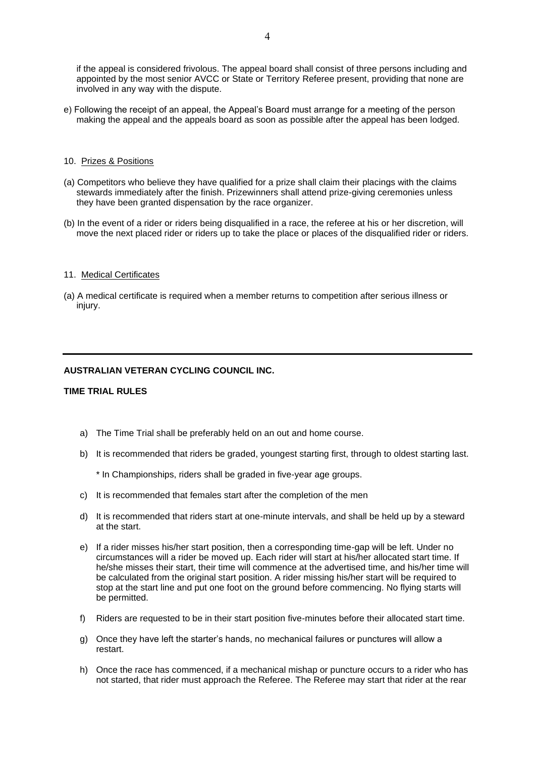if the appeal is considered frivolous. The appeal board shall consist of three persons including and appointed by the most senior AVCC or State or Territory Referee present, providing that none are involved in any way with the dispute.

e) Following the receipt of an appeal, the Appeal's Board must arrange for a meeting of the person making the appeal and the appeals board as soon as possible after the appeal has been lodged.

#### 10. Prizes & Positions

- (a) Competitors who believe they have qualified for a prize shall claim their placings with the claims stewards immediately after the finish. Prizewinners shall attend prize-giving ceremonies unless they have been granted dispensation by the race organizer.
- (b) In the event of a rider or riders being disqualified in a race, the referee at his or her discretion, will move the next placed rider or riders up to take the place or places of the disqualified rider or riders*.*

#### 11. Medical Certificates

(a) A medical certificate is required when a member returns to competition after serious illness or injury.

## **AUSTRALIAN VETERAN CYCLING COUNCIL INC.**

#### **TIME TRIAL RULES**

- a) The Time Trial shall be preferably held on an out and home course.
- b) It is recommended that riders be graded, youngest starting first, through to oldest starting last.

\* In Championships, riders shall be graded in five-year age groups.

- c) It is recommended that females start after the completion of the men
- d) It is recommended that riders start at one-minute intervals, and shall be held up by a steward at the start.
- e) If a rider misses his/her start position, then a corresponding time-gap will be left. Under no circumstances will a rider be moved up. Each rider will start at his/her allocated start time. If he/she misses their start, their time will commence at the advertised time, and his/her time will be calculated from the original start position. A rider missing his/her start will be required to stop at the start line and put one foot on the ground before commencing. No flying starts will be permitted.
- f) Riders are requested to be in their start position five-minutes before their allocated start time.
- g) Once they have left the starter's hands, no mechanical failures or punctures will allow a restart.
- h) Once the race has commenced, if a mechanical mishap or puncture occurs to a rider who has not started, that rider must approach the Referee. The Referee may start that rider at the rear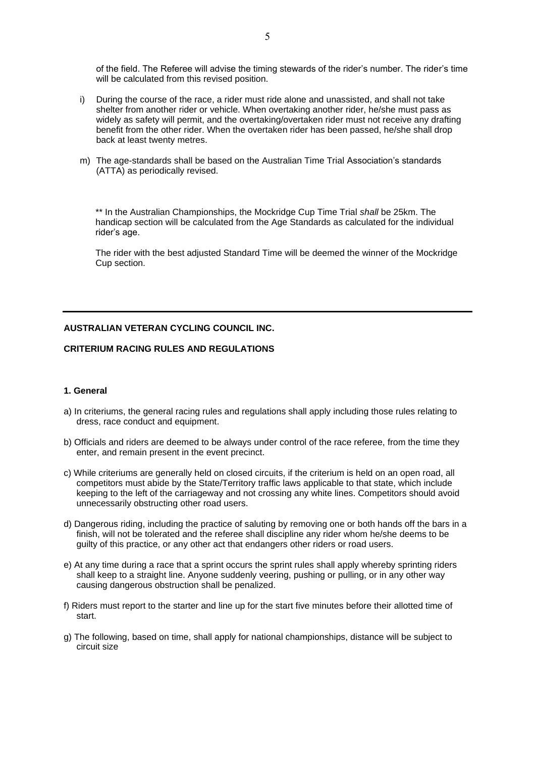of the field. The Referee will advise the timing stewards of the rider's number. The rider's time will be calculated from this revised position.

- i) During the course of the race, a rider must ride alone and unassisted, and shall not take shelter from another rider or vehicle. When overtaking another rider, he/she must pass as widely as safety will permit, and the overtaking/overtaken rider must not receive any drafting benefit from the other rider. When the overtaken rider has been passed, he/she shall drop back at least twenty metres.
- m) The age-standards shall be based on the Australian Time Trial Association's standards (ATTA) as periodically revised.

\*\* In the Australian Championships, the Mockridge Cup Time Trial *shall* be 25km. The handicap section will be calculated from the Age Standards as calculated for the individual rider's age.

The rider with the best adjusted Standard Time will be deemed the winner of the Mockridge Cup section.

## **AUSTRALIAN VETERAN CYCLING COUNCIL INC.**

# **CRITERIUM RACING RULES AND REGULATIONS**

# **1. General**

- a) In criteriums, the general racing rules and regulations shall apply including those rules relating to dress, race conduct and equipment.
- b) Officials and riders are deemed to be always under control of the race referee, from the time they enter, and remain present in the event precinct.
- c) While criteriums are generally held on closed circuits, if the criterium is held on an open road, all competitors must abide by the State/Territory traffic laws applicable to that state, which include keeping to the left of the carriageway and not crossing any white lines. Competitors should avoid unnecessarily obstructing other road users.
- d) Dangerous riding, including the practice of saluting by removing one or both hands off the bars in a finish, will not be tolerated and the referee shall discipline any rider whom he/she deems to be guilty of this practice, or any other act that endangers other riders or road users.
- e) At any time during a race that a sprint occurs the sprint rules shall apply whereby sprinting riders shall keep to a straight line. Anyone suddenly veering, pushing or pulling, or in any other way causing dangerous obstruction shall be penalized.
- f) Riders must report to the starter and line up for the start five minutes before their allotted time of start.
- g) The following, based on time, shall apply for national championships, distance will be subject to circuit size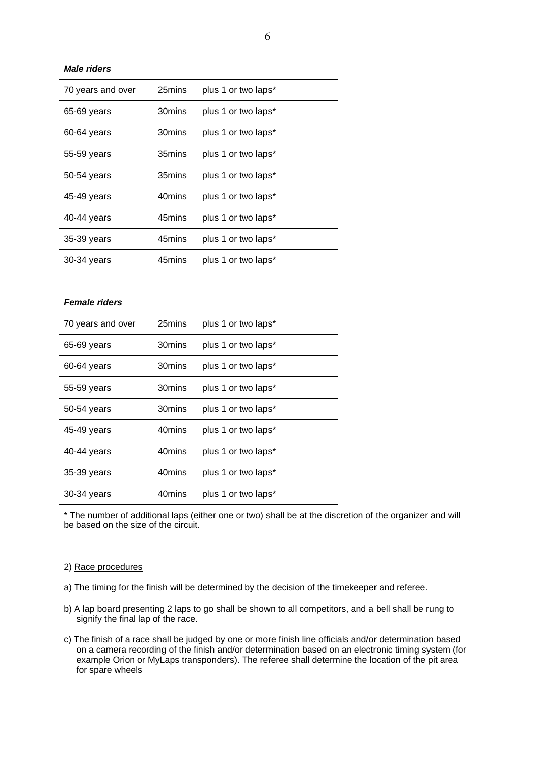# *Male riders*

| 70 years and over | 25mins | plus 1 or two laps* |
|-------------------|--------|---------------------|
| 65-69 years       | 30mins | plus 1 or two laps* |
| 60-64 years       | 30mins | plus 1 or two laps* |
| 55-59 years       | 35mins | plus 1 or two laps* |
| 50-54 years       | 35mins | plus 1 or two laps* |
| 45-49 years       | 40mins | plus 1 or two laps* |
| 40-44 years       | 45mins | plus 1 or two laps* |
| 35-39 years       | 45mins | plus 1 or two laps* |
| 30-34 years       | 45mins | plus 1 or two laps* |

# *Female riders*

| 70 years and over | 25mins | plus 1 or two laps* |
|-------------------|--------|---------------------|
| 65-69 years       | 30mins | plus 1 or two laps* |
| 60-64 years       | 30mins | plus 1 or two laps* |
| 55-59 years       | 30mins | plus 1 or two laps* |
| 50-54 years       | 30mins | plus 1 or two laps* |
| 45-49 years       | 40mins | plus 1 or two laps* |
| 40-44 years       | 40mins | plus 1 or two laps* |
| 35-39 years       | 40mins | plus 1 or two laps* |
| 30-34 years       | 40mins | plus 1 or two laps* |

\* The number of additional laps (either one or two) shall be at the discretion of the organizer and will be based on the size of the circuit.

#### 2) Race procedures

a) The timing for the finish will be determined by the decision of the timekeeper and referee.

- b) A lap board presenting 2 laps to go shall be shown to all competitors, and a bell shall be rung to signify the final lap of the race.
- c) The finish of a race shall be judged by one or more finish line officials and/or determination based on a camera recording of the finish and/or determination based on an electronic timing system (for example Orion or MyLaps transponders). The referee shall determine the location of the pit area for spare wheels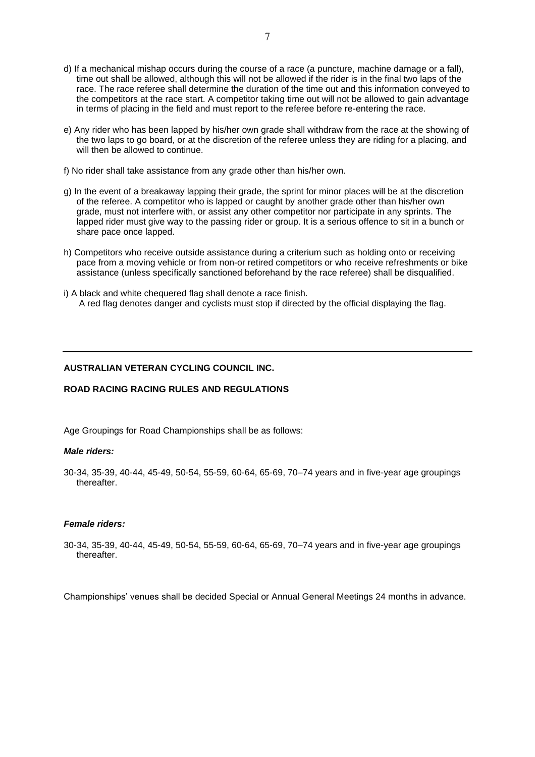- d) If a mechanical mishap occurs during the course of a race (a puncture, machine damage or a fall), time out shall be allowed, although this will not be allowed if the rider is in the final two laps of the race. The race referee shall determine the duration of the time out and this information conveyed to the competitors at the race start. A competitor taking time out will not be allowed to gain advantage in terms of placing in the field and must report to the referee before re-entering the race.
- e) Any rider who has been lapped by his/her own grade shall withdraw from the race at the showing of the two laps to go board, or at the discretion of the referee unless they are riding for a placing, and will then be allowed to continue.
- f) No rider shall take assistance from any grade other than his/her own.
- g) In the event of a breakaway lapping their grade, the sprint for minor places will be at the discretion of the referee. A competitor who is lapped or caught by another grade other than his/her own grade, must not interfere with, or assist any other competitor nor participate in any sprints. The lapped rider must give way to the passing rider or group. It is a serious offence to sit in a bunch or share pace once lapped.
- h) Competitors who receive outside assistance during a criterium such as holding onto or receiving pace from a moving vehicle or from non-or retired competitors or who receive refreshments or bike assistance (unless specifically sanctioned beforehand by the race referee) shall be disqualified.
- i) A black and white chequered flag shall denote a race finish. A red flag denotes danger and cyclists must stop if directed by the official displaying the flag.

## **AUSTRALIAN VETERAN CYCLING COUNCIL INC.**

## **ROAD RACING RACING RULES AND REGULATIONS**

Age Groupings for Road Championships shall be as follows:

## *Male riders:*

30-34, 35-39, 40-44, 45-49, 50-54, 55-59, 60-64, 65-69, 70–74 years and in five-year age groupings thereafter.

## *Female riders:*

30-34, 35-39, 40-44, 45-49, 50-54, 55-59, 60-64, 65-69, 70–74 years and in five-year age groupings thereafter.

Championships' venues shall be decided Special or Annual General Meetings 24 months in advance.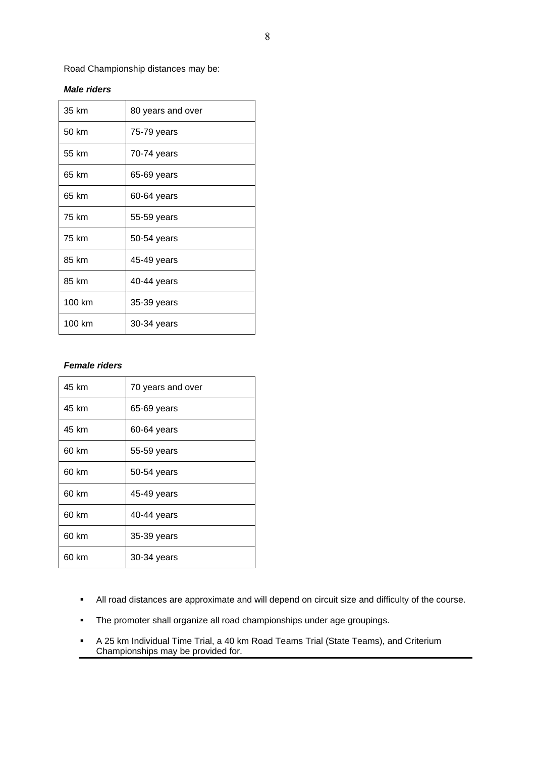Road Championship distances may be:

# *Male riders*

| 35 km  | 80 years and over |  |
|--------|-------------------|--|
| 50 km  | 75-79 years       |  |
| 55 km  | 70-74 years       |  |
| 65 km  | 65-69 years       |  |
| 65 km  | 60-64 years       |  |
| 75 km  | 55-59 years       |  |
| 75 km  | 50-54 years       |  |
| 85 km  | 45-49 years       |  |
| 85 km  | 40-44 years       |  |
| 100 km | 35-39 years       |  |
| 100 km | 30-34 years       |  |

## *Female riders*

| 45 km | 70 years and over |
|-------|-------------------|
| 45 km | 65-69 years       |
| 45 km | 60-64 years       |
| 60 km | 55-59 years       |
| 60 km | 50-54 years       |
| 60 km | 45-49 years       |
| 60 km | 40-44 years       |
| 60 km | 35-39 years       |
| 60 km | 30-34 years       |

- All road distances are approximate and will depend on circuit size and difficulty of the course.
- The promoter shall organize all road championships under age groupings.
- A 25 km Individual Time Trial, a 40 km Road Teams Trial (State Teams), and Criterium Championships may be provided for.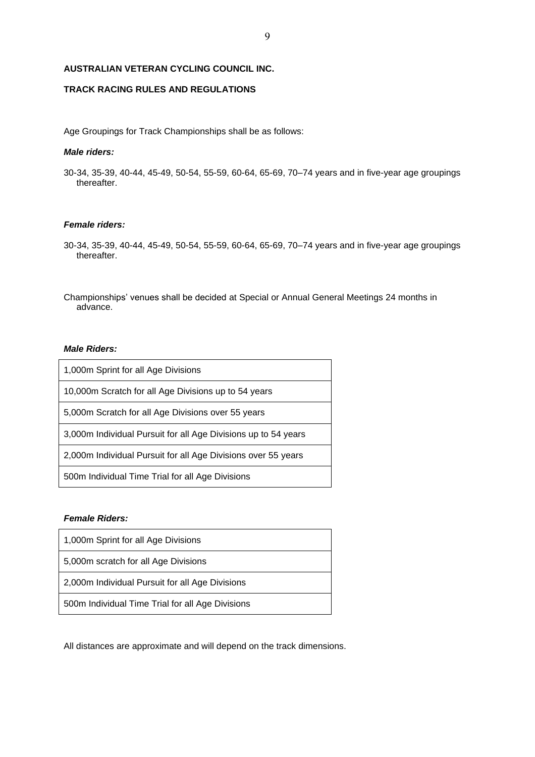## **AUSTRALIAN VETERAN CYCLING COUNCIL INC.**

# **TRACK RACING RULES AND REGULATIONS**

Age Groupings for Track Championships shall be as follows:

## *Male riders:*

30-34, 35-39, 40-44, 45-49, 50-54, 55-59, 60-64, 65-69, 70–74 years and in five-year age groupings thereafter.

## *Female riders:*

- 30-34, 35-39, 40-44, 45-49, 50-54, 55-59, 60-64, 65-69, 70–74 years and in five-year age groupings thereafter.
- Championships' venues shall be decided at Special or Annual General Meetings 24 months in advance.

## *Male Riders:*

| 1,000m Sprint for all Age Divisions                            |
|----------------------------------------------------------------|
| 10,000m Scratch for all Age Divisions up to 54 years           |
| 5,000m Scratch for all Age Divisions over 55 years             |
| 3,000m Individual Pursuit for all Age Divisions up to 54 years |
| 2,000m Individual Pursuit for all Age Divisions over 55 years  |
| 500m Individual Time Trial for all Age Divisions               |

# *Female Riders:*

| 1,000m Sprint for all Age Divisions              |
|--------------------------------------------------|
| 5,000m scratch for all Age Divisions             |
| 2,000m Individual Pursuit for all Age Divisions  |
| 500m Individual Time Trial for all Age Divisions |

All distances are approximate and will depend on the track dimensions.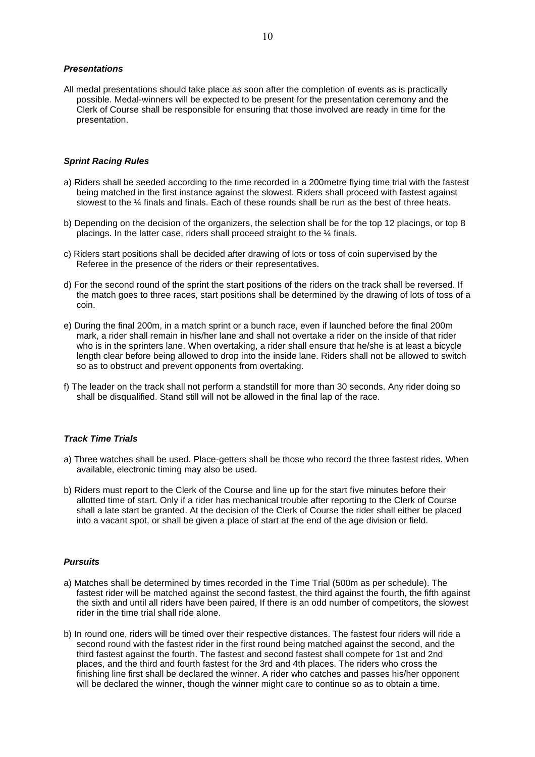#### *Presentations*

All medal presentations should take place as soon after the completion of events as is practically possible. Medal-winners will be expected to be present for the presentation ceremony and the Clerk of Course shall be responsible for ensuring that those involved are ready in time for the presentation.

## *Sprint Racing Rules*

- a) Riders shall be seeded according to the time recorded in a 200metre flying time trial with the fastest being matched in the first instance against the slowest. Riders shall proceed with fastest against slowest to the 1/4 finals and finals. Each of these rounds shall be run as the best of three heats.
- b) Depending on the decision of the organizers, the selection shall be for the top 12 placings, or top 8 placings. In the latter case, riders shall proceed straight to the ¼ finals.
- c) Riders start positions shall be decided after drawing of lots or toss of coin supervised by the Referee in the presence of the riders or their representatives.
- d) For the second round of the sprint the start positions of the riders on the track shall be reversed. If the match goes to three races, start positions shall be determined by the drawing of lots of toss of a coin.
- e) During the final 200m, in a match sprint or a bunch race, even if launched before the final 200m mark, a rider shall remain in his/her lane and shall not overtake a rider on the inside of that rider who is in the sprinters lane. When overtaking, a rider shall ensure that he/she is at least a bicycle length clear before being allowed to drop into the inside lane. Riders shall not be allowed to switch so as to obstruct and prevent opponents from overtaking.
- f) The leader on the track shall not perform a standstill for more than 30 seconds. Any rider doing so shall be disqualified. Stand still will not be allowed in the final lap of the race.

## *Track Time Trials*

- a) Three watches shall be used. Place-getters shall be those who record the three fastest rides. When available, electronic timing may also be used.
- b) Riders must report to the Clerk of the Course and line up for the start five minutes before their allotted time of start. Only if a rider has mechanical trouble after reporting to the Clerk of Course shall a late start be granted. At the decision of the Clerk of Course the rider shall either be placed into a vacant spot, or shall be given a place of start at the end of the age division or field.

#### *Pursuits*

- a) Matches shall be determined by times recorded in the Time Trial (500m as per schedule). The fastest rider will be matched against the second fastest, the third against the fourth, the fifth against the sixth and until all riders have been paired, If there is an odd number of competitors, the slowest rider in the time trial shall ride alone.
- b) In round one, riders will be timed over their respective distances. The fastest four riders will ride a second round with the fastest rider in the first round being matched against the second, and the third fastest against the fourth. The fastest and second fastest shall compete for 1st and 2nd places, and the third and fourth fastest for the 3rd and 4th places. The riders who cross the finishing line first shall be declared the winner. A rider who catches and passes his/her opponent will be declared the winner, though the winner might care to continue so as to obtain a time.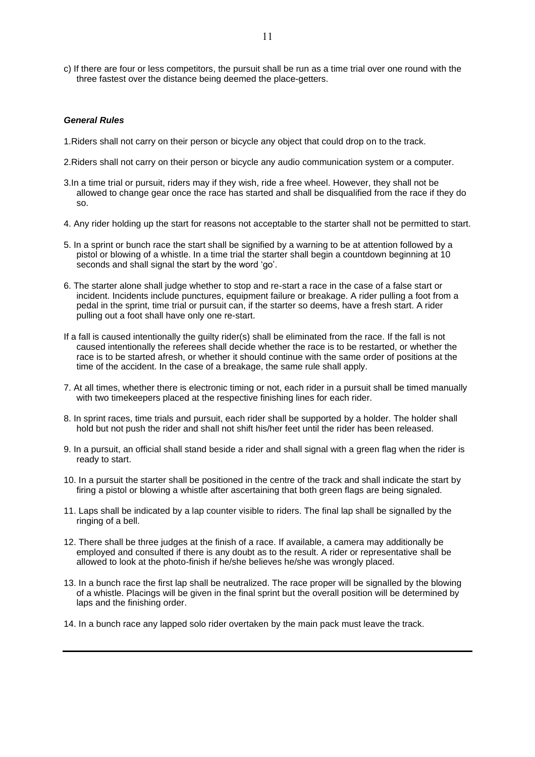c) If there are four or less competitors, the pursuit shall be run as a time trial over one round with the three fastest over the distance being deemed the place-getters.

#### *General Rules*

- 1.Riders shall not carry on their person or bicycle any object that could drop on to the track.
- 2.Riders shall not carry on their person or bicycle any audio communication system or a computer.
- 3.In a time trial or pursuit, riders may if they wish, ride a free wheel. However, they shall not be allowed to change gear once the race has started and shall be disqualified from the race if they do so.
- 4. Any rider holding up the start for reasons not acceptable to the starter shall not be permitted to start.
- 5. In a sprint or bunch race the start shall be signified by a warning to be at attention followed by a pistol or blowing of a whistle. In a time trial the starter shall begin a countdown beginning at 10 seconds and shall signal the start by the word 'go'.
- 6. The starter alone shall judge whether to stop and re-start a race in the case of a false start or incident. Incidents include punctures, equipment failure or breakage. A rider pulling a foot from a pedal in the sprint, time trial or pursuit can, if the starter so deems, have a fresh start. A rider pulling out a foot shall have only one re-start.
- If a fall is caused intentionally the guilty rider(s) shall be eliminated from the race. If the fall is not caused intentionally the referees shall decide whether the race is to be restarted, or whether the race is to be started afresh, or whether it should continue with the same order of positions at the time of the accident. In the case of a breakage, the same rule shall apply.
- 7. At all times, whether there is electronic timing or not, each rider in a pursuit shall be timed manually with two timekeepers placed at the respective finishing lines for each rider.
- 8. In sprint races, time trials and pursuit, each rider shall be supported by a holder. The holder shall hold but not push the rider and shall not shift his/her feet until the rider has been released.
- 9. In a pursuit, an official shall stand beside a rider and shall signal with a green flag when the rider is ready to start.
- 10. In a pursuit the starter shall be positioned in the centre of the track and shall indicate the start by firing a pistol or blowing a whistle after ascertaining that both green flags are being signaled.
- 11. Laps shall be indicated by a lap counter visible to riders. The final lap shall be signalled by the ringing of a bell.
- 12. There shall be three judges at the finish of a race. If available, a camera may additionally be employed and consulted if there is any doubt as to the result. A rider or representative shall be allowed to look at the photo-finish if he/she believes he/she was wrongly placed.
- 13. In a bunch race the first lap shall be neutralized. The race proper will be signalled by the blowing of a whistle. Placings will be given in the final sprint but the overall position will be determined by laps and the finishing order.
- 14. In a bunch race any lapped solo rider overtaken by the main pack must leave the track.